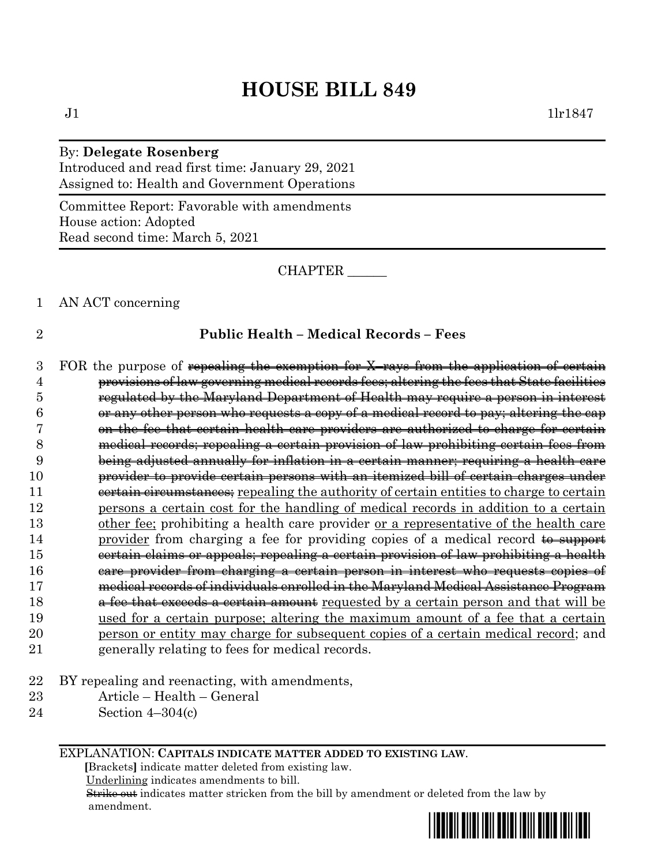# **HOUSE BILL 849**

## By: **Delegate Rosenberg**

Introduced and read first time: January 29, 2021 Assigned to: Health and Government Operations

Committee Report: Favorable with amendments House action: Adopted Read second time: March 5, 2021

CHAPTER \_\_\_\_\_\_

#### 1 AN ACT concerning

### 2 **Public Health – Medical Records – Fees**

- 3 FOR the purpose of repealing the exemption for X–rays from the application of certain 4 provisions of law governing medical records fees; altering the fees that State facilities 5 regulated by the Maryland Department of Health may require a person in interest  $6 \longrightarrow$  or any other person who requests a copy of a medical record to pay; altering the cap 7 on the fee that certain health care providers are authorized to charge for certain 8 medical records; repealing a certain provision of law prohibiting certain fees from 9 being adjusted annually for inflation in a certain manner; requiring a health care 10 provider to provide certain persons with an itemized bill of certain charges under 11 eertain circumstances; repealing the authority of certain entities to charge to certain 12 persons a certain cost for the handling of medical records in addition to a certain 13 other fee; prohibiting a health care provider or a representative of the health care 14 provider from charging a fee for providing copies of a medical record to support 15 certain claims or appeals; repealing a certain provision of law prohibiting a health 16 care provider from charging a certain person in interest who requests copies of 17 medical records of individuals enrolled in the Maryland Medical Assistance Program 18 **a fee that exceeds a certain amount** requested by a certain person and that will be 19 used for a certain purpose; altering the maximum amount of a fee that a certain 20 person or entity may charge for subsequent copies of a certain medical record; and 21 generally relating to fees for medical records.
- 22 BY repealing and reenacting, with amendments,
- 23 Article Health General
- 24 Section 4–304(c)

EXPLANATION: **CAPITALS INDICATE MATTER ADDED TO EXISTING LAW**.

 **[**Brackets**]** indicate matter deleted from existing law.

Underlining indicates amendments to bill.

 Strike out indicates matter stricken from the bill by amendment or deleted from the law by amendment.

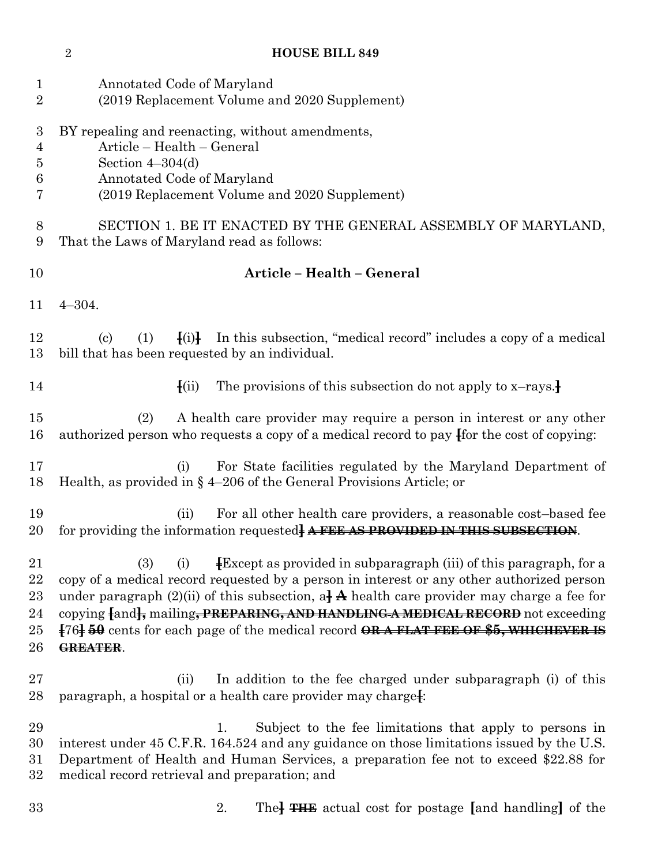| $\mathbf{1}$<br>$\overline{2}$                                 | Annotated Code of Maryland<br>(2019 Replacement Volume and 2020 Supplement)                                                                                                                                                                                                                                                                                                                                                                                                                        |
|----------------------------------------------------------------|----------------------------------------------------------------------------------------------------------------------------------------------------------------------------------------------------------------------------------------------------------------------------------------------------------------------------------------------------------------------------------------------------------------------------------------------------------------------------------------------------|
| $\boldsymbol{3}$<br>$\overline{4}$<br>$\overline{5}$<br>6<br>7 | BY repealing and reenacting, without amendments,<br>Article - Health - General<br>Section $4-304(d)$<br>Annotated Code of Maryland<br>(2019 Replacement Volume and 2020 Supplement)                                                                                                                                                                                                                                                                                                                |
| 8<br>9                                                         | SECTION 1. BE IT ENACTED BY THE GENERAL ASSEMBLY OF MARYLAND,<br>That the Laws of Maryland read as follows:                                                                                                                                                                                                                                                                                                                                                                                        |
| 10                                                             | Article - Health - General                                                                                                                                                                                                                                                                                                                                                                                                                                                                         |
| 11                                                             | $4 - 304.$                                                                                                                                                                                                                                                                                                                                                                                                                                                                                         |
| 12<br>13                                                       | $\{(i)\}$<br>In this subsection, "medical record" includes a copy of a medical<br>(1)<br>$\left( \mathrm{c}\right)$<br>bill that has been requested by an individual.                                                                                                                                                                                                                                                                                                                              |
| 14                                                             | The provisions of this subsection do not apply to $x$ -rays.<br>$\left\{ \text{(ii)} \right\}$                                                                                                                                                                                                                                                                                                                                                                                                     |
| $15\,$<br>16                                                   | A health care provider may require a person in interest or any other<br>(2)<br>authorized person who requests a copy of a medical record to pay for the cost of copying:                                                                                                                                                                                                                                                                                                                           |
| 17<br>18                                                       | For State facilities regulated by the Maryland Department of<br>(i)<br>Health, as provided in $\S$ 4-206 of the General Provisions Article; or                                                                                                                                                                                                                                                                                                                                                     |
| 19<br>20                                                       | For all other health care providers, a reasonable cost-based fee<br>(ii)<br>for providing the information requested AFEE AS PROVIDED IN THIS SUBSECTION.                                                                                                                                                                                                                                                                                                                                           |
| 21<br>22<br>23<br>24<br>$25\,$<br>26                           | <b>Except as provided in subparagraph</b> (iii) of this paragraph, for a<br><b>(3)</b><br>(i)<br>copy of a medical record requested by a person in interest or any other authorized person<br>under paragraph (2)(ii) of this subsection, a $\frac{1}{4}$ health care provider may charge a fee for<br>copying fand <sub>t</sub> mailing, PREPARING, AND HANDLING A MEDICAL RECORD not exceeding<br>[76] 50 cents for each page of the medical record ORAFLAT FEE OF \$5, WHICHEVER IS<br>GREATER. |
| $27\,$<br>28                                                   | In addition to the fee charged under subparagraph (i) of this<br>(ii)<br>paragraph, a hospital or a health care provider may charge.                                                                                                                                                                                                                                                                                                                                                               |
| 29<br>30<br>$31\,$<br>$32\,$                                   | Subject to the fee limitations that apply to persons in<br>1.<br>interest under 45 C.F.R. 164.524 and any guidance on those limitations issued by the U.S.<br>Department of Health and Human Services, a preparation fee not to exceed \$22.88 for<br>medical record retrieval and preparation; and                                                                                                                                                                                                |

**HOUSE BILL 849**

2. The**] THE** actual cost for postage **[**and handling**]** of the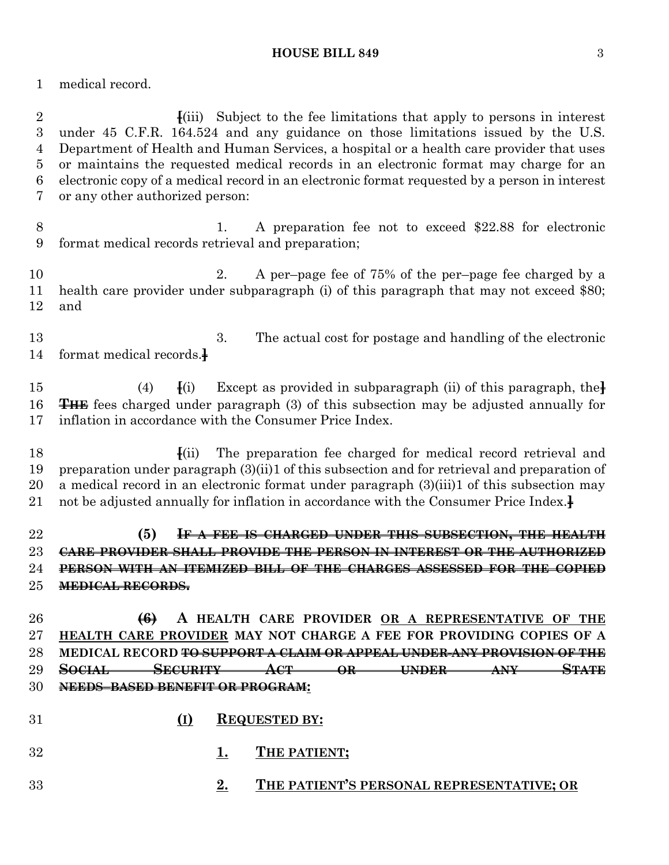medical record.

 **[**(iii) Subject to the fee limitations that apply to persons in interest under 45 C.F.R. 164.524 and any guidance on those limitations issued by the U.S. Department of Health and Human Services, a hospital or a health care provider that uses or maintains the requested medical records in an electronic format may charge for an electronic copy of a medical record in an electronic format requested by a person in interest or any other authorized person:

8 1. A preparation fee not to exceed \$22.88 for electronic format medical records retrieval and preparation;

 2. A per–page fee of 75% of the per–page fee charged by a health care provider under subparagraph (i) of this paragraph that may not exceed \$80; and

 3. The actual cost for postage and handling of the electronic format medical records.**]**

 (4) **[**(i) Except as provided in subparagraph (ii) of this paragraph, the**] THE** fees charged under paragraph (3) of this subsection may be adjusted annually for inflation in accordance with the Consumer Price Index.

 **[**(ii) The preparation fee charged for medical record retrieval and preparation under paragraph (3)(ii)1 of this subsection and for retrieval and preparation of a medical record in an electronic format under paragraph (3)(iii)1 of this subsection may not be adjusted annually for inflation in accordance with the Consumer Price Index.**]**

 **(5) IF A FEE IS CHARGED UNDER THIS SUBSECTION, THE HEALTH CARE PROVIDER SHALL PROVIDE THE PERSON IN INTEREST OR THE AUTHORIZED PERSON WITH AN ITEMIZED BILL OF THE CHARGES ASSESSED FOR THE COPIED MEDICAL RECORDS.**

 **(6) A HEALTH CARE PROVIDER OR A REPRESENTATIVE OF THE HEALTH CARE PROVIDER MAY NOT CHARGE A FEE FOR PROVIDING COPIES OF A MEDICAL RECORD TO SUPPORT A CLAIM OR APPEAL UNDER ANY PROVISION OF THE SOCIAL SECURITY ACT OR UNDER ANY STATE NEEDS–BASED BENEFIT OR PROGRAM:**

- **(I) REQUESTED BY: 1. THE PATIENT;**
- **2. THE PATIENT'S PERSONAL REPRESENTATIVE; OR**